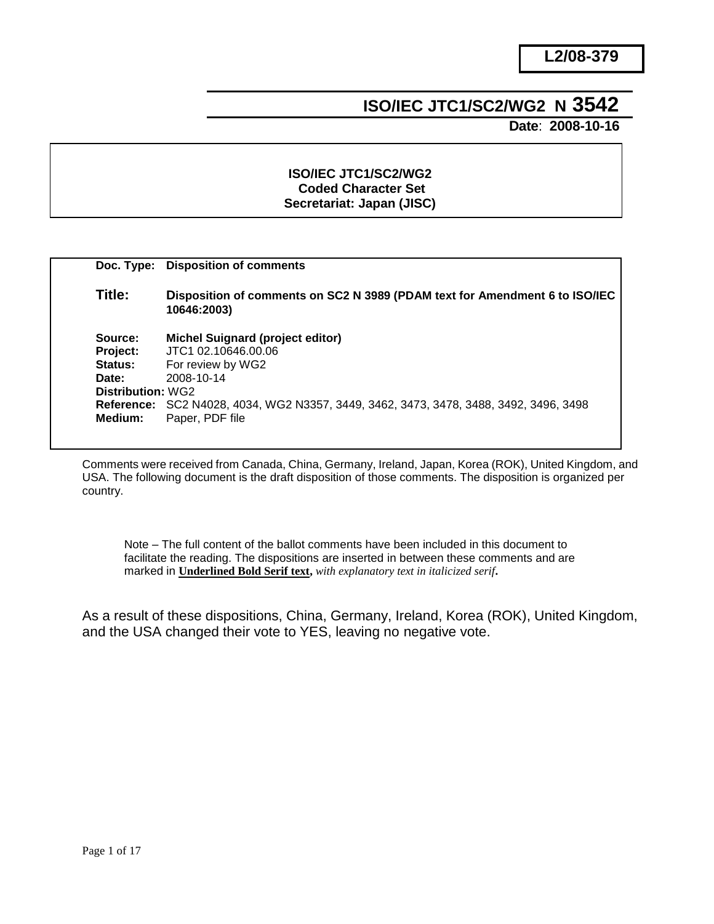# **ISO/IEC JTC1/SC2/WG2 N 3542**

 **Date**: **2008-10-16**

## **ISO/IEC JTC1/SC2/WG2 Coded Character Set Secretariat: Japan (JISC)**

|                   | Doc. Type: Disposition of comments                                                         |
|-------------------|--------------------------------------------------------------------------------------------|
| Title:            | Disposition of comments on SC2 N 3989 (PDAM text for Amendment 6 to ISO/IEC<br>10646:2003) |
| Source:           | Michel Suignard (project editor)                                                           |
| Project:          | JTC1 02 10646 00 06                                                                        |
| Status:           | For review by WG2                                                                          |
| Date:             | 2008-10-14                                                                                 |
| Distribution: WG2 |                                                                                            |
|                   | Reference: SC2 N4028, 4034, WG2 N3357, 3449, 3462, 3473, 3478, 3488, 3492, 3496, 3498      |
| Medium:           | Paper, PDF file                                                                            |
|                   |                                                                                            |

Comments were received from Canada, China, Germany, Ireland, Japan, Korea (ROK), United Kingdom, and USA. The following document is the draft disposition of those comments. The disposition is organized per country.

Note – The full content of the ballot comments have been included in this document to facilitate the reading. The dispositions are inserted in between these comments and are marked in **Underlined Bold Serif text,** *with explanatory text in italicized serif***.**

As a result of these dispositions, China, Germany, Ireland, Korea (ROK), United Kingdom, and the USA changed their vote to YES, leaving no negative vote.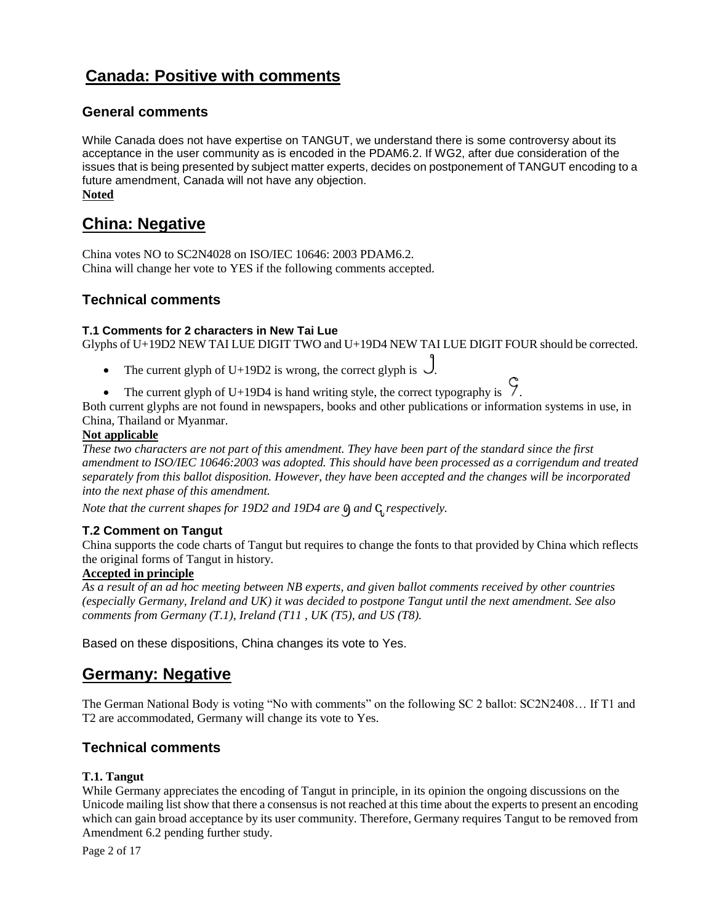# **Canada: Positive with comments**

# **General comments**

While Canada does not have expertise on TANGUT, we understand there is some controversy about its acceptance in the user community as is encoded in the PDAM6.2. If WG2, after due consideration of the issues that is being presented by subject matter experts, decides on postponement of TANGUT encoding to a future amendment, Canada will not have any objection. **Noted**

# **China: Negative**

China votes NO to SC2N4028 on ISO/IEC 10646: 2003 PDAM6.2. China will change her vote to YES if the following comments accepted.

# **Technical comments**

#### **T.1 Comments for 2 characters in New Tai Lue**

Glyphs of U+19D2 NEW TAI LUE DIGIT TWO and U+19D4 NEW TAI LUE DIGIT FOUR should be corrected.

- The current glyph of U+19D2 is wrong, the correct glyph is  $\bigcup$ .
- The current glyph of U+19D4 is hand writing style, the correct typography is  $\int$ .

Both current glyphs are not found in newspapers, books and other publications or information systems in use, in China, Thailand or Myanmar.

#### **Not applicable**

*These two characters are not part of this amendment. They have been part of the standard since the first amendment to ISO/IEC 10646:2003 was adopted. This should have been processed as a corrigendum and treated separately from this ballot disposition. However, they have been accepted and the changes will be incorporated into the next phase of this amendment.*

*Note that the current shapes for 19D2 and 19D4 are*  $\theta$  *and*  $\theta$  *respectively.* 

#### **T.2 Comment on Tangut**

China supports the code charts of Tangut but requires to change the fonts to that provided by China which reflects the original forms of Tangut in history.

#### **Accepted in principle**

*As a result of an ad hoc meeting between NB experts, and given ballot comments received by other countries (especially Germany, Ireland and UK) it was decided to postpone Tangut until the next amendment. See also comments from Germany (T.1), Ireland (T11 , UK (T5), and US (T8).*

Based on these dispositions, China changes its vote to Yes.

# **Germany: Negative**

The German National Body is voting "No with comments" on the following SC 2 ballot: SC2N2408... If T1 and T2 are accommodated, Germany will change its vote to Yes.

## **Technical comments**

#### **T.1. Tangut**

While Germany appreciates the encoding of Tangut in principle, in its opinion the ongoing discussions on the Unicode mailing list show that there a consensus is not reached at this time about the experts to present an encoding which can gain broad acceptance by its user community. Therefore, Germany requires Tangut to be removed from Amendment 6.2 pending further study.

Page 2 of 17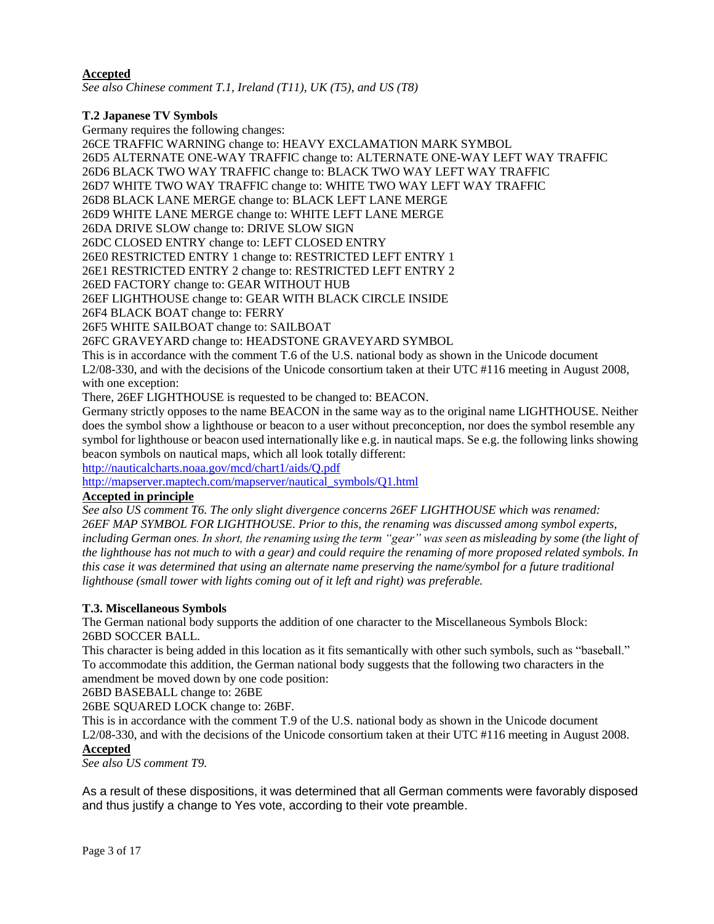### **Accepted**

*See also Chinese comment T.1, Ireland (T11), UK (T5), and US (T8)*

## **T.2 Japanese TV Symbols**

Germany requires the following changes:

26CE TRAFFIC WARNING change to: HEAVY EXCLAMATION MARK SYMBOL 26D5 ALTERNATE ONE-WAY TRAFFIC change to: ALTERNATE ONE-WAY LEFT WAY TRAFFIC 26D6 BLACK TWO WAY TRAFFIC change to: BLACK TWO WAY LEFT WAY TRAFFIC 26D7 WHITE TWO WAY TRAFFIC change to: WHITE TWO WAY LEFT WAY TRAFFIC 26D8 BLACK LANE MERGE change to: BLACK LEFT LANE MERGE 26D9 WHITE LANE MERGE change to: WHITE LEFT LANE MERGE 26DA DRIVE SLOW change to: DRIVE SLOW SIGN 26DC CLOSED ENTRY change to: LEFT CLOSED ENTRY 26E0 RESTRICTED ENTRY 1 change to: RESTRICTED LEFT ENTRY 1 26E1 RESTRICTED ENTRY 2 change to: RESTRICTED LEFT ENTRY 2 26ED FACTORY change to: GEAR WITHOUT HUB 26EF LIGHTHOUSE change to: GEAR WITH BLACK CIRCLE INSIDE 26F4 BLACK BOAT change to: FERRY 26F5 WHITE SAILBOAT change to: SAILBOAT 26FC GRAVEYARD change to: HEADSTONE GRAVEYARD SYMBOL This is in accordance with the comment T.6 of the U.S. national body as shown in the Unicode document L2/08-330, and with the decisions of the Unicode consortium taken at their UTC #116 meeting in August 2008, with one exception: There, 26EF LIGHTHOUSE is requested to be changed to: BEACON. Germany strictly opposes to the name BEACON in the same way as to the original name LIGHTHOUSE. Neither does the symbol show a lighthouse or beacon to a user without preconception, nor does the symbol resemble any symbol for lighthouse or beacon used internationally like e.g. in nautical maps. Se e.g. the following links showing

beacon symbols on nautical maps, which all look totally different:

<http://nauticalcharts.noaa.gov/mcd/chart1/aids/Q.pdf>

[http://mapserver.maptech.com/mapserver/nautical\\_symbols/Q1.html](http://mapserver.maptech.com/mapserver/nautical_symbols/Q1.html)

# **Accepted in principle**

*See also US comment T6. The only slight divergence concerns 26EF LIGHTHOUSE which was renamed: 26EF MAP SYMBOL FOR LIGHTHOUSE. Prior to this, the renaming was discussed among symbol experts, including German ones. In short, the renaming using the term "gear" was seen as misleading by some (the light of the lighthouse has not much to with a gear) and could require the renaming of more proposed related symbols. In this case it was determined that using an alternate name preserving the name/symbol for a future traditional lighthouse (small tower with lights coming out of it left and right) was preferable.*

#### **T.3. Miscellaneous Symbols**

The German national body supports the addition of one character to the Miscellaneous Symbols Block: 26BD SOCCER BALL.

This character is being added in this location as it fits semantically with other such symbols, such as "baseball." To accommodate this addition, the German national body suggests that the following two characters in the amendment be moved down by one code position:

26BD BASEBALL change to: 26BE

26BE SQUARED LOCK change to: 26BF.

This is in accordance with the comment T.9 of the U.S. national body as shown in the Unicode document L2/08-330, and with the decisions of the Unicode consortium taken at their UTC #116 meeting in August 2008.

## **Accepted**

*See also US comment T9.*

As a result of these dispositions, it was determined that all German comments were favorably disposed and thus justify a change to Yes vote, according to their vote preamble.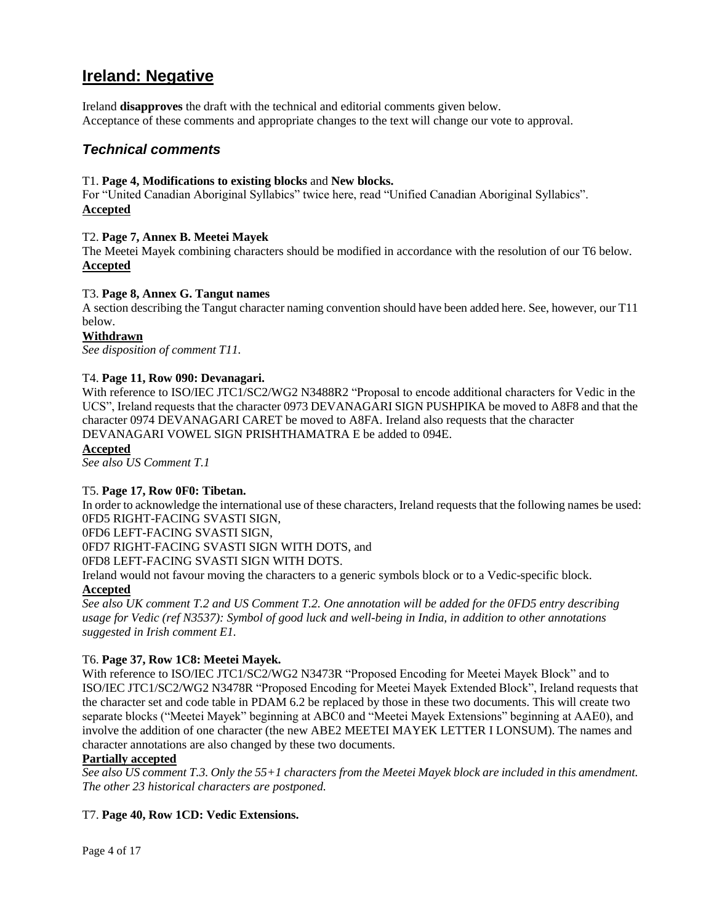# **Ireland: Negative**

Ireland **disapproves** the draft with the technical and editorial comments given below. Acceptance of these comments and appropriate changes to the text will change our vote to approval.

# *Technical comments*

#### T1. **Page 4, Modifications to existing blocks** and **New blocks.**

For "United Canadian Aboriginal Syllabics" twice here, read "Unified Canadian Aboriginal Syllabics". **Accepted**

#### T2. **Page 7, Annex B. Meetei Mayek**

The Meetei Mayek combining characters should be modified in accordance with the resolution of our T6 below. **Accepted**

#### T3. **Page 8, Annex G. Tangut names**

A section describing the Tangut character naming convention should have been added here. See, however, our T11 below.

#### **Withdrawn**

*See disposition of comment T11.*

#### T4. **Page 11, Row 090: Devanagari.**

With reference to ISO/IEC JTC1/SC2/WG2 N3488R2 "Proposal to encode additional characters for Vedic in the UCS‖, Ireland requests that the character 0973 DEVANAGARI SIGN PUSHPIKA be moved to A8F8 and that the character 0974 DEVANAGARI CARET be moved to A8FA. Ireland also requests that the character DEVANAGARI VOWEL SIGN PRISHTHAMATRA E be added to 094E.

#### **Accepted**

*See also US Comment T.1*

#### T5. **Page 17, Row 0F0: Tibetan.**

In order to acknowledge the international use of these characters, Ireland requests that the following names be used: 0FD5 RIGHT-FACING SVASTI SIGN,

0FD6 LEFT-FACING SVASTI SIGN,

0FD7 RIGHT-FACING SVASTI SIGN WITH DOTS, and

0FD8 LEFT-FACING SVASTI SIGN WITH DOTS.

Ireland would not favour moving the characters to a generic symbols block or to a Vedic-specific block.

## **Accepted**

*See also UK comment T.2 and US Comment T.2. One annotation will be added for the 0FD5 entry describing usage for Vedic (ref N3537): Symbol of good luck and well-being in India, in addition to other annotations suggested in Irish comment E1.*

#### T6. **Page 37, Row 1C8: Meetei Mayek.**

With reference to ISO/IEC JTC1/SC2/WG2 N3473R "Proposed Encoding for Meetei Mayek Block" and to ISO/IEC JTC1/SC2/WG2 N3478R "Proposed Encoding for Meetei Mayek Extended Block", Ireland requests that the character set and code table in PDAM 6.2 be replaced by those in these two documents. This will create two separate blocks ("Meetei Mayek" beginning at ABC0 and "Meetei Mayek Extensions" beginning at AAE0), and involve the addition of one character (the new ABE2 MEETEI MAYEK LETTER I LONSUM). The names and character annotations are also changed by these two documents.

#### **Partially accepted**

*See also US comment T.3. Only the 55+1 characters from the Meetei Mayek block are included in this amendment. The other 23 historical characters are postponed.*

#### T7. **Page 40, Row 1CD: Vedic Extensions.**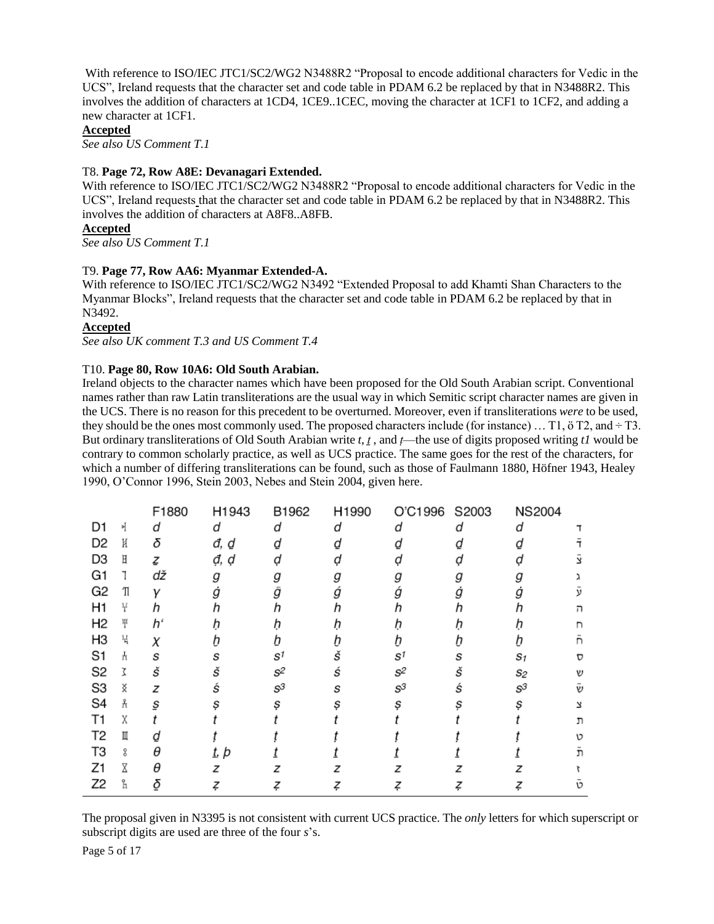With reference to ISO/IEC JTC1/SC2/WG2 N3488R2 "Proposal to encode additional characters for Vedic in the UCS", Ireland requests that the character set and code table in PDAM 6.2 be replaced by that in N3488R2. This involves the addition of characters at 1CD4, 1CE9..1CEC, moving the character at 1CF1 to 1CF2, and adding a new character at 1CF1.

#### **Accepted**

*See also US Comment T.1*

#### T8. **Page 72, Row A8E: Devanagari Extended.**

With reference to ISO/IEC JTC1/SC2/WG2 N3488R2 "Proposal to encode additional characters for Vedic in the UCS", Ireland requests that the character set and code table in PDAM 6.2 be replaced by that in N3488R2. This involves the addition of characters at A8F8..A8FB.

#### **Accepted**

*See also US Comment T.1*

#### T9. **Page 77, Row AA6: Myanmar Extended-A.**

With reference to ISO/IEC JTC1/SC2/WG2 N3492 "Extended Proposal to add Khamti Shan Characters to the Myanmar Blocks", Ireland requests that the character set and code table in PDAM 6.2 be replaced by that in N3492.

#### **Accepted**

*See also UK comment T.3 and US Comment T.4*

#### T10. **Page 80, Row 10A6: Old South Arabian.**

Ireland objects to the character names which have been proposed for the Old South Arabian script. Conventional names rather than raw Latin transliterations are the usual way in which Semitic script character names are given in the UCS. There is no reason for this precedent to be overturned. Moreover, even if transliterations *were* to be used, they should be the ones most commonly used. The proposed characters include (for instance) ... T1,  $\ddot{o}$  T2, and  $\div$  T3. But ordinary transliterations of Old South Arabian write *t*, *ṯ* , and *ṭ*—the use of digits proposed writing *t1* would be contrary to common scholarly practice, as well as UCS practice. The same goes for the rest of the characters, for which a number of differing transliterations can be found, such as those of Faulmann 1880, Höfner 1943, Healey 1990, O'Connor 1996, Stein 2003, Nebes and Stein 2004, given here.

|                |   | F1880 | H1943        | B1962                            | H1990 | O'C1996 S2003                    |   | <b>NS2004</b>   |    |
|----------------|---|-------|--------------|----------------------------------|-------|----------------------------------|---|-----------------|----|
| D1             | 케 | d     | d            | d                                | d     | U                                | d | d               |    |
| D <sub>2</sub> | K | δ     | đ, ₫         |                                  |       |                                  |   |                 |    |
| D <sub>3</sub> | Η | ζ     | đ, d         |                                  |       |                                  |   |                 |    |
| G1             |   | dž    | g            |                                  |       |                                  |   |                 |    |
| G <sub>2</sub> | Ί | ν     | g            | g                                |       | ġ                                |   | g               |    |
| H <sub>1</sub> | ¥ |       |              |                                  |       |                                  |   |                 |    |
| H <sub>2</sub> | Ψ | hʻ    |              |                                  |       |                                  |   |                 |    |
| H <sub>3</sub> | ч | χ     |              |                                  |       |                                  |   |                 |    |
| S1             | H | S     | s            | $\mathbf{s}^{\text{\tiny\it 1}}$ | Š     | $\mathbf{s}^{\text{\tiny\it 1}}$ | S | S1              | D  |
| S <sub>2</sub> |   | š     | Š            | s <sup>2</sup>                   | Ś     | s <sup>2</sup>                   | š | S2              | V) |
| S3             | ҉ | z     | Ś            | $S^3$                            | s     | $\mathcal{S}^3$                  | ś | $\mathcal{S}^3$ | V) |
| S <sub>4</sub> | Å | S     |              |                                  | s     |                                  |   | s               | 7  |
| Τ1             | χ |       |              |                                  |       |                                  |   |                 | ת  |
| T <sub>2</sub> | Ш |       |              |                                  |       |                                  |   |                 | 10 |
| T3             | ደ | θ     | <u>t</u> , þ |                                  |       |                                  |   |                 | 'n |
| Z1             |   | A     | z            |                                  |       |                                  |   |                 |    |
| Z <sub>2</sub> | h | δ     |              |                                  |       |                                  |   |                 | ١C |

The proposal given in N3395 is not consistent with current UCS practice. The *only* letters for which superscript or subscript digits are used are three of the four *s*'s.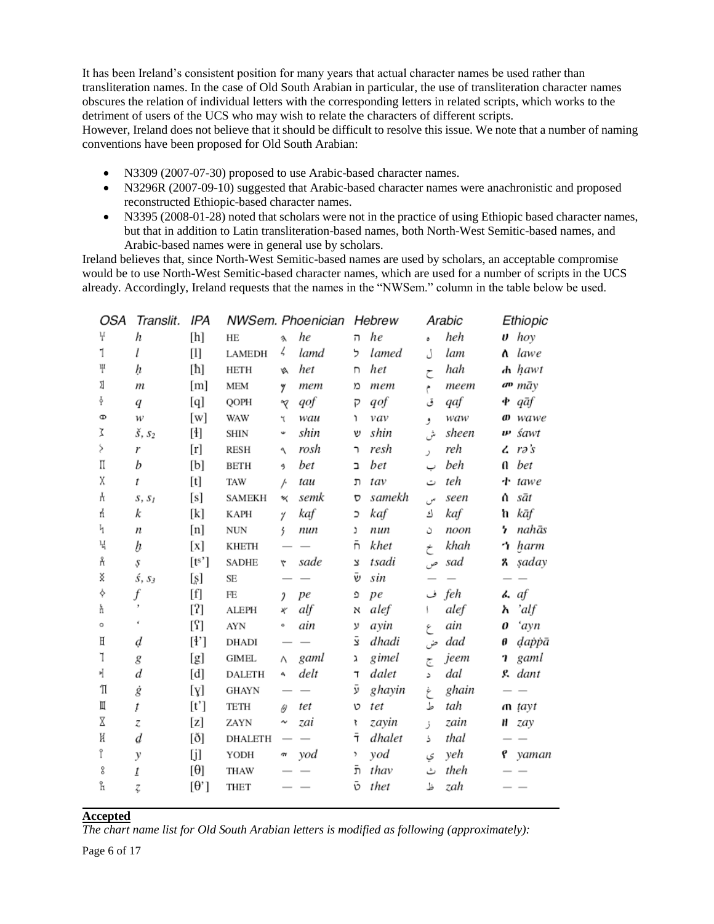It has been Ireland's consistent position for many years that actual character names be used rather than transliteration names. In the case of Old South Arabian in particular, the use of transliteration character names obscures the relation of individual letters with the corresponding letters in related scripts, which works to the detriment of users of the UCS who may wish to relate the characters of different scripts. However, Ireland does not believe that it should be difficult to resolve this issue. We note that a number of naming conventions have been proposed for Old South Arabian:

- N3309 (2007-07-30) proposed to use Arabic-based character names.
- N3296R (2007-09-10) suggested that Arabic-based character names were anachronistic and proposed reconstructed Ethiopic-based character names.
- N3395 (2008-01-28) noted that scholars were not in the practice of using Ethiopic based character names, but that in addition to Latin transliteration-based names, both North-West Semitic-based names, and Arabic-based names were in general use by scholars.

Ireland believes that, since North-West Semitic-based names are used by scholars, an acceptable compromise would be to use North-West Semitic-based character names, which are used for a number of scripts in the UCS already. Accordingly, Ireland requests that the names in the "NWSem." column in the table below be used.

| OSA | Translit.           | IPA                                                                                                                                                                                                                                                                                                                                                                                                                                                                                                                                                                                                                                                                                               |                |               | NWSem. Phoenician |                    | Hebrew |    | Arabic |    | Ethiopic                    |
|-----|---------------------|---------------------------------------------------------------------------------------------------------------------------------------------------------------------------------------------------------------------------------------------------------------------------------------------------------------------------------------------------------------------------------------------------------------------------------------------------------------------------------------------------------------------------------------------------------------------------------------------------------------------------------------------------------------------------------------------------|----------------|---------------|-------------------|--------------------|--------|----|--------|----|-----------------------------|
| Ŧ   | h                   | [h]                                                                                                                                                                                                                                                                                                                                                                                                                                                                                                                                                                                                                                                                                               | HE             | $\lambda$     | he                | 'n                 | he     | ٥  | heh    |    | $\boldsymbol{\upsilon}$ hoy |
| 1   | l                   | $[1] % \centering \includegraphics[width=0.9\columnwidth]{figures/fig_10.pdf} \caption{The figure shows the number of times on the right.} \label{fig:time}$                                                                                                                                                                                                                                                                                                                                                                                                                                                                                                                                      | LAMEDH         | ζ.            | lamd              | ל                  | lamed  | J  | lam    |    | <b>h</b> lawe               |
| Ψ   | ķ                   | [ħ]                                                                                                                                                                                                                                                                                                                                                                                                                                                                                                                                                                                                                                                                                               | <b>HETH</b>    |               | het               | n                  | het    | ح  | hah    |    | $\boldsymbol{h}$ hawt       |
| Ŋ   | $\boldsymbol{m}$    | [m]                                                                                                                                                                                                                                                                                                                                                                                                                                                                                                                                                                                                                                                                                               | <b>MEM</b>     | y             | mem               | Ď                  | mem    | م  | теет   |    | av māy                      |
| ş   | q                   | [q]                                                                                                                                                                                                                                                                                                                                                                                                                                                                                                                                                                                                                                                                                               | QOPH           | R             | qof               | P                  | qof    | ق  | qaf    |    | $\Phi$ qāf                  |
| Ф   | w                   | [w]                                                                                                                                                                                                                                                                                                                                                                                                                                                                                                                                                                                                                                                                                               | <b>WAW</b>     | 4             | wau               | ١                  | vav    | و  | waw    |    | $\boldsymbol{\omega}$ wawe  |
| Σ   | $\check{s}$ , $s_2$ | [4]                                                                                                                                                                                                                                                                                                                                                                                                                                                                                                                                                                                                                                                                                               | <b>SHIN</b>    | Ψ             | shin              | υ                  | shin   | ىش | sheen  | w  | śawt                        |
| Ş   | r                   | $[r] \centering% \includegraphics[width=1\textwidth]{Figures/PN1.png} \caption{The 3D maps of the parameter $\Omega$ with the same parameters $n_{\mathrm{c}}$ for the parameter $\Omega$ and $n_{\mathrm{c}}$ for the parameter $\Omega$ and $n_{\mathrm{c}}$ for the parameter $\Omega$ and $n_{\mathrm{c}}$ for the parameter $\Omega$ and $n_{\mathrm{c}}$ for the parameter $\Omega$ and $n_{\mathrm{c}}$ for the parameter $\Omega$ and $n_{\mathrm{c}}$ for the parameter $\Omega$ and $n_{\mathrm{c}}$ for the parameter $\Omega$ and $n_{\mathrm{c}}$ for the parameter $\Omega$ and $n_{\mathrm{c}}$ for the parameter $\Omega$ and $n_{\mathrm{c}}$ for the parameter $\Omega$ and $n$ | <b>RESH</b>    | ٩             | rosh              | ኀ                  | resh   | J. | reh    |    | $\mathcal{L}$ rə's          |
| П   | b                   | [b]                                                                                                                                                                                                                                                                                                                                                                                                                                                                                                                                                                                                                                                                                               | <b>BETH</b>    | 9             | bet               | Ĺ                  | bet    |    | beh    | a  | bet                         |
| χ   | t                   |                                                                                                                                                                                                                                                                                                                                                                                                                                                                                                                                                                                                                                                                                                   | TAW            | þ             | tau               | 'n                 | tav    | ت  | teh    |    | $\cdot$ <b>t</b> tawe       |
| H   | $S, S_I$            | [s]                                                                                                                                                                                                                                                                                                                                                                                                                                                                                                                                                                                                                                                                                               | <b>SAMEKH</b>  | ₩             | semk              | D                  | samekh | س  | seen   | Λ. | sāt                         |
| ń   | k                   | [k]                                                                                                                                                                                                                                                                                                                                                                                                                                                                                                                                                                                                                                                                                               | <b>KAPH</b>    | 4             | kaf               | C                  | kaf    | ك  | kaf    | ħ  | kāf                         |
| 4   | n                   | [n]                                                                                                                                                                                                                                                                                                                                                                                                                                                                                                                                                                                                                                                                                               | <b>NUN</b>     | 5             | nun               | J                  | nun    | ن  | noon   | 7  | nahās                       |
| Ч   | b                   | $\left[ \mathrm{x}\right]$                                                                                                                                                                                                                                                                                                                                                                                                                                                                                                                                                                                                                                                                        | <b>KHETH</b>   |               |                   | ñ                  | khet   | خ  | khah   |    | ጎ harm                      |
| Å   | Ş                   | [t <sup>s</sup> ]                                                                                                                                                                                                                                                                                                                                                                                                                                                                                                                                                                                                                                                                                 | SADHE          | ۳             | sade              | 7                  | tsadi  | ص  | sad    | z. | şaday                       |
| x   | Ś, S3               | [s]                                                                                                                                                                                                                                                                                                                                                                                                                                                                                                                                                                                                                                                                                               | SE             |               |                   | $\bar{\mathsf{v}}$ | sin    |    |        |    |                             |
| ♦   | f                   | [f]                                                                                                                                                                                                                                                                                                                                                                                                                                                                                                                                                                                                                                                                                               | FE             | $\mathfrak z$ | pe                | G                  | pe     |    | feh ف  |    | $\lambda$ af                |
| ħ   |                     | $[?]$                                                                                                                                                                                                                                                                                                                                                                                                                                                                                                                                                                                                                                                                                             | ALEPH          | x             | alf               | N                  | alef   | ١. | alef   | አ  | 'alf                        |
| o   | ¢                   | [?]                                                                                                                                                                                                                                                                                                                                                                                                                                                                                                                                                                                                                                                                                               | <b>AYN</b>     | ۰             | ain               | ν                  | ayin   | ع  | ain    | 0  | 'ayn                        |
| Η   | d                   | $[4^{\circ}]$                                                                                                                                                                                                                                                                                                                                                                                                                                                                                                                                                                                                                                                                                     | <b>DHADI</b>   |               |                   | 2                  | dhadi  | ض  | dad    | θ  | dappā                       |
| 1   | g                   | [g]                                                                                                                                                                                                                                                                                                                                                                                                                                                                                                                                                                                                                                                                                               | <b>GIMEL</b>   | Λ             | gaml              | λ                  | gimel  | ج  | jeem   | 7  | gaml                        |
| 吖   | d                   | [d]                                                                                                                                                                                                                                                                                                                                                                                                                                                                                                                                                                                                                                                                                               | <b>DALETH</b>  | 4             | delt              | T                  | dalet  | د  | dal    |    | g dant                      |
| Ί   | ġ                   | [y]                                                                                                                                                                                                                                                                                                                                                                                                                                                                                                                                                                                                                                                                                               | <b>GHAYN</b>   |               |                   | ÿ                  | ghayin | غ  | ghain  |    |                             |
| Щ   | ţ                   | [t']                                                                                                                                                                                                                                                                                                                                                                                                                                                                                                                                                                                                                                                                                              | <b>TETH</b>    | $\theta$      | tet               | v                  | tet    | ط  | tah    |    | $\mathbf{n}$ tayt           |
| Χ   | z                   | [z]                                                                                                                                                                                                                                                                                                                                                                                                                                                                                                                                                                                                                                                                                               | ZAYN           | ∼             | zai               | 7                  | zayin  | ز  | zain   |    | H zay                       |
| K   | d                   | [ð]                                                                                                                                                                                                                                                                                                                                                                                                                                                                                                                                                                                                                                                                                               | <b>DHALETH</b> |               |                   | Ŧ                  | dhalet | ذ  | thal   |    |                             |
| î   | y                   | [j]                                                                                                                                                                                                                                                                                                                                                                                                                                                                                                                                                                                                                                                                                               | YODH           | т             | yod               | ,                  | yod    | ى  | yeh    |    | P yaman                     |
| 8   | $\underline{t}$     | [θ]                                                                                                                                                                                                                                                                                                                                                                                                                                                                                                                                                                                                                                                                                               | <b>THAW</b>    |               |                   | ñ                  | thav   | ٹ  | theh   |    |                             |
| ĥ   | Z,                  | $[\theta']$                                                                                                                                                                                                                                                                                                                                                                                                                                                                                                                                                                                                                                                                                       | <b>THET</b>    |               |                   | ō                  | thet   | ظ  | zah    |    |                             |
|     |                     |                                                                                                                                                                                                                                                                                                                                                                                                                                                                                                                                                                                                                                                                                                   |                |               |                   |                    |        |    |        |    |                             |

#### **Accepted**

*The chart name list for Old South Arabian letters is modified as following (approximately):*

Page 6 of 17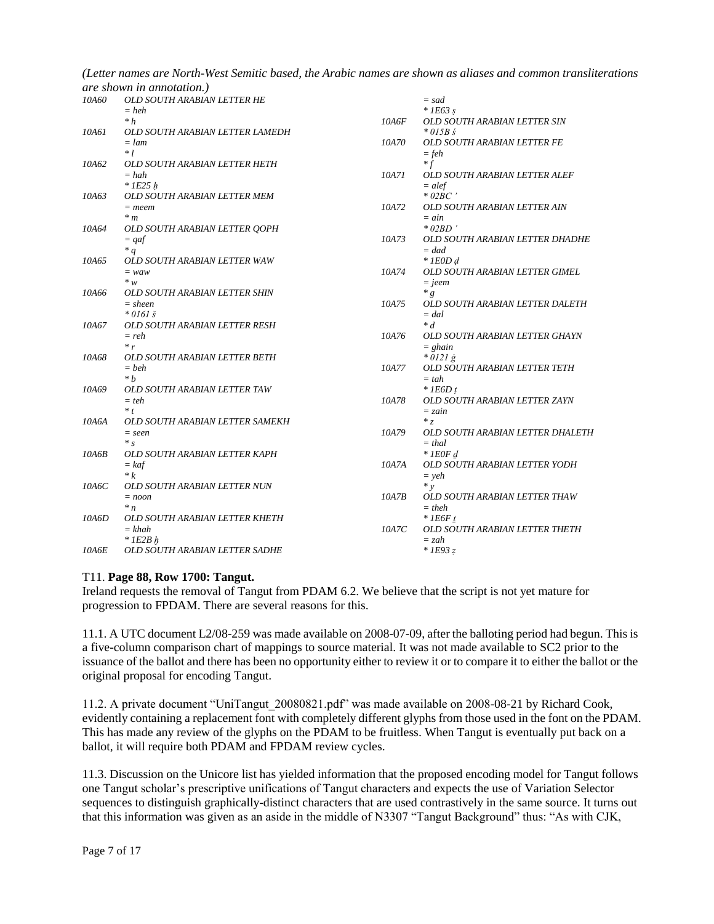*(Letter names are North-West Semitic based, the Arabic names are shown as aliases and common transliterations* 

|       | <i>are shown in annotation.)</i>           |          |                                              |  |  |  |  |  |
|-------|--------------------------------------------|----------|----------------------------------------------|--|--|--|--|--|
| 10A60 | OLD SOUTH ARABIAN LETTER HE                |          | $=$ sad                                      |  |  |  |  |  |
|       | $= heh$                                    |          | $*$ 1E63 s                                   |  |  |  |  |  |
|       | $* h$                                      | 10A6F    | <b>OLD SOUTH ARABIAN LETTER SIN</b>          |  |  |  |  |  |
| 10A61 | OLD SOUTH ARABIAN LETTER LAMEDH            |          | $*$ 015B s                                   |  |  |  |  |  |
|       | $=$ lam                                    | 10A70    | OLD SOUTH ARABIAN LETTER FE                  |  |  |  |  |  |
|       | $*1$                                       |          | $=$ feh                                      |  |  |  |  |  |
| 10A62 | OLD SOUTH ARABIAN LETTER HETH              |          | $* f$                                        |  |  |  |  |  |
|       | $= hah$                                    | 10A71    | OLD SOUTH ARABIAN LETTER ALEF                |  |  |  |  |  |
|       | $*$ 1E25 h                                 |          | $= alef$                                     |  |  |  |  |  |
| 10A63 | OLD SOUTH ARABIAN LETTER MEM               |          | $*02BC$                                      |  |  |  |  |  |
|       | $=$ meem                                   | 10A72    | OLD SOUTH ARABIAN LETTER AIN                 |  |  |  |  |  |
|       | $*$ m                                      |          | $=$ ain                                      |  |  |  |  |  |
| 10A64 | OLD SOUTH ARABIAN LETTER QOPH              |          | $*$ 02BD $^{\circ}$                          |  |  |  |  |  |
|       | $= qaf$                                    | 10A73    | OLD SOUTH ARABIAN LETTER DHADHE              |  |  |  |  |  |
|       | $*q$                                       |          | $=$ dad                                      |  |  |  |  |  |
| 10A65 | OLD SOUTH ARABIAN LETTER WAW               |          | $*$ 1E0D $d$                                 |  |  |  |  |  |
|       | $=$ waw                                    | 10A74    | OLD SOUTH ARABIAN LETTER GIMEL               |  |  |  |  |  |
|       | $*_{w}$                                    |          | $=$ jeem                                     |  |  |  |  |  |
| 10A66 | OLD SOUTH ARABIAN LETTER SHIN              |          | $*_{g}$                                      |  |  |  |  |  |
|       | $=$ sheen                                  | 10A75    | OLD SOUTH ARABIAN LETTER DALETH              |  |  |  |  |  |
|       | $*01615$                                   |          | $= dal$                                      |  |  |  |  |  |
| 10A67 | OLD SOUTH ARABIAN LETTER RESH              |          | $* d$                                        |  |  |  |  |  |
|       | $=$ reh                                    | 10A76    | OLD SOUTH ARABIAN LETTER GHAYN               |  |  |  |  |  |
|       | r                                          |          | $= ghain$                                    |  |  |  |  |  |
| 10A68 | OLD SOUTH ARABIAN LETTER BETH              |          | $* 0121 \, g$                                |  |  |  |  |  |
|       | $=$ beh                                    | 10A77    | <b>OLD SOUTH ARABIAN LETTER TETH</b>         |  |  |  |  |  |
|       | $* h$                                      |          | $=$ tah                                      |  |  |  |  |  |
| 10A69 | OLD SOUTH ARABIAN LETTER TAW               |          | $*$ 1E6D t                                   |  |  |  |  |  |
|       | $=$ teh                                    | 10A78    | OLD SOUTH ARABIAN LETTER ZAYN                |  |  |  |  |  |
|       | $*$ $t$                                    |          | $= zain$                                     |  |  |  |  |  |
| 10A6A | OLD SOUTH ARABIAN LETTER SAMEKH            |          | $*_{Z}$                                      |  |  |  |  |  |
|       | $=$ seen                                   | 10A79    | OLD SOUTH ARABIAN LETTER DHALETH             |  |  |  |  |  |
|       | $*_{S}$                                    |          | $=$ thal                                     |  |  |  |  |  |
| 10A6B | OLD SOUTH ARABIAN LETTER KAPH              |          | $*$ 1 EOF d                                  |  |  |  |  |  |
|       | $= kaf$                                    | 10A7A    | OLD SOUTH ARABIAN LETTER YODH                |  |  |  |  |  |
|       | $* k$                                      |          | $=$ yeh                                      |  |  |  |  |  |
| 10A6C | OLD SOUTH ARABIAN LETTER NUN               |          | $*$ $v$                                      |  |  |  |  |  |
|       | $= noon$                                   | $10A$ 7B | OLD SOUTH ARABIAN LETTER THAW                |  |  |  |  |  |
|       | $*_{n}$                                    |          | $=$ theh                                     |  |  |  |  |  |
| 10A6D | OLD SOUTH ARABIAN LETTER KHETH<br>$= khah$ | 10A7C    | $*$ 1E6F t<br>OLD SOUTH ARABIAN LETTER THETH |  |  |  |  |  |
|       | $*$ 1E2B $h$                               |          |                                              |  |  |  |  |  |
|       |                                            |          | $=$ zah                                      |  |  |  |  |  |
| 10A6E | OLD SOUTH ARABIAN LETTER SADHE             |          | $*$ 1E93 $z$                                 |  |  |  |  |  |

## T11. **Page 88, Row 1700: Tangut.**

Ireland requests the removal of Tangut from PDAM 6.2. We believe that the script is not yet mature for progression to FPDAM. There are several reasons for this.

11.1. A UTC document L2/08-259 was made available on 2008-07-09, after the balloting period had begun. This is a five-column comparison chart of mappings to source material. It was not made available to SC2 prior to the issuance of the ballot and there has been no opportunity either to review it or to compare it to either the ballot or the original proposal for encoding Tangut.

11.2. A private document "UniTangut 20080821.pdf" was made available on 2008-08-21 by Richard Cook, evidently containing a replacement font with completely different glyphs from those used in the font on the PDAM. This has made any review of the glyphs on the PDAM to be fruitless. When Tangut is eventually put back on a ballot, it will require both PDAM and FPDAM review cycles.

11.3. Discussion on the Unicore list has yielded information that the proposed encoding model for Tangut follows one Tangut scholar's prescriptive unifications of Tangut characters and expects the use of Variation Selector sequences to distinguish graphically-distinct characters that are used contrastively in the same source. It turns out that this information was given as an aside in the middle of N3307 "Tangut Background" thus: "As with CJK,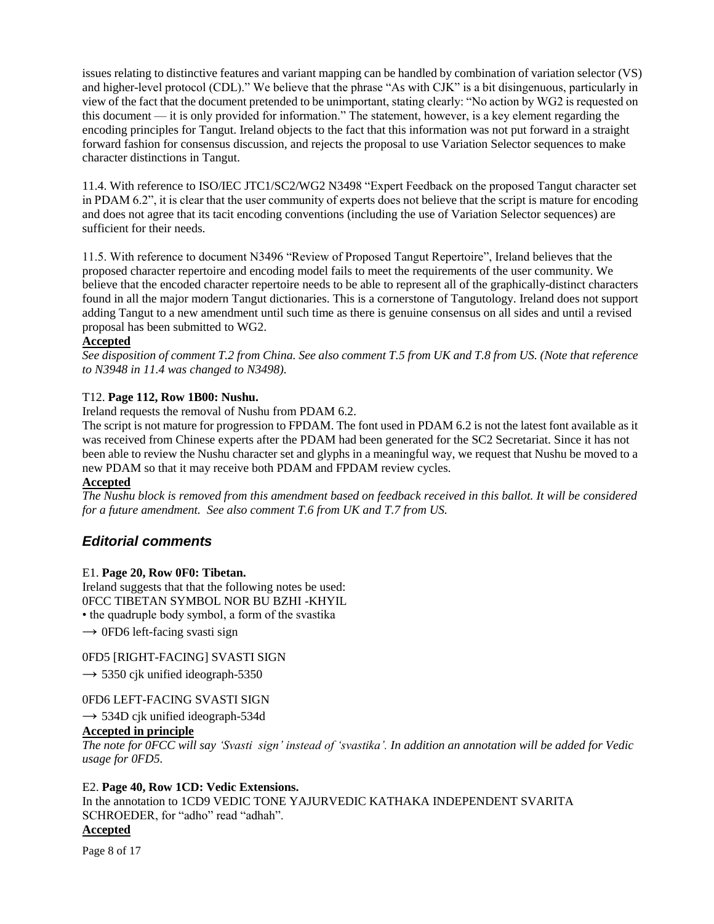issues relating to distinctive features and variant mapping can be handled by combination of variation selector (VS) and higher-level protocol (CDL)." We believe that the phrase "As with CJK" is a bit disingenuous, particularly in view of the fact that the document pretended to be unimportant, stating clearly: "No action by WG2 is requested on this document — it is only provided for information." The statement, however, is a key element regarding the encoding principles for Tangut. Ireland objects to the fact that this information was not put forward in a straight forward fashion for consensus discussion, and rejects the proposal to use Variation Selector sequences to make character distinctions in Tangut.

11.4. With reference to ISO/IEC JTC1/SC2/WG2 N3498 "Expert Feedback on the proposed Tangut character set in PDAM 6.2", it is clear that the user community of experts does not believe that the script is mature for encoding and does not agree that its tacit encoding conventions (including the use of Variation Selector sequences) are sufficient for their needs.

11.5. With reference to document N3496 "Review of Proposed Tangut Repertoire", Ireland believes that the proposed character repertoire and encoding model fails to meet the requirements of the user community. We believe that the encoded character repertoire needs to be able to represent all of the graphically-distinct characters found in all the major modern Tangut dictionaries. This is a cornerstone of Tangutology. Ireland does not support adding Tangut to a new amendment until such time as there is genuine consensus on all sides and until a revised proposal has been submitted to WG2.

#### **Accepted**

*See disposition of comment T.2 from China. See also comment T.5 from UK and T.8 from US. (Note that reference to N3948 in 11.4 was changed to N3498).* 

#### T12. **Page 112, Row 1B00: Nushu.**

Ireland requests the removal of Nushu from PDAM 6.2.

The script is not mature for progression to FPDAM. The font used in PDAM 6.2 is not the latest font available as it was received from Chinese experts after the PDAM had been generated for the SC2 Secretariat. Since it has not been able to review the Nushu character set and glyphs in a meaningful way, we request that Nushu be moved to a new PDAM so that it may receive both PDAM and FPDAM review cycles.

#### **Accepted**

*The Nushu block is removed from this amendment based on feedback received in this ballot. It will be considered for a future amendment. See also comment T.6 from UK and T.7 from US.*

## *Editorial comments*

#### E1. **Page 20, Row 0F0: Tibetan.**

Ireland suggests that that the following notes be used: 0FCC TIBETAN SYMBOL NOR BU BZHI -KHYIL • the quadruple body symbol, a form of the svastika

 $\rightarrow$  0FD6 left-facing svasti sign

## 0FD5 [RIGHT-FACING] SVASTI SIGN

 $\rightarrow$  5350 cjk unified ideograph-5350

#### 0FD6 LEFT-FACING SVASTI SIGN

 $\rightarrow$  534D cjk unified ideograph-534d

# **Accepted in principle**

*The note for 0FCC will say "Svasti sign" instead of "svastika". In addition an annotation will be added for Vedic usage for 0FD5.*

#### E2. **Page 40, Row 1CD: Vedic Extensions.**

In the annotation to 1CD9 VEDIC TONE YAJURVEDIC KATHAKA INDEPENDENT SVARITA SCHROEDER, for "adho" read "adhah".

#### **Accepted**

Page 8 of 17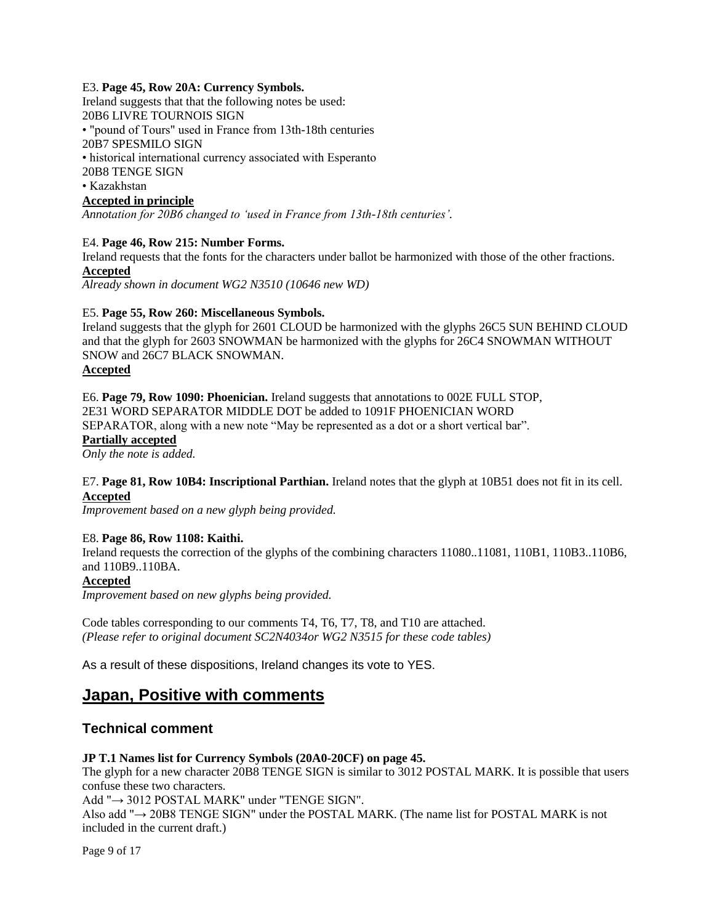#### E3. **Page 45, Row 20A: Currency Symbols.**

Ireland suggests that that the following notes be used: 20B6 LIVRE TOURNOIS SIGN • "pound of Tours" used in France from 13th-18th centuries 20B7 SPESMILO SIGN • historical international currency associated with Esperanto 20B8 TENGE SIGN • Kazakhstan

# **Accepted in principle**

*Annotation for 20B6 changed to "used in France from 13th-18th centuries".*

#### E4. **Page 46, Row 215: Number Forms.**

Ireland requests that the fonts for the characters under ballot be harmonized with those of the other fractions. **Accepted**

*Already shown in document WG2 N3510 (10646 new WD)*

#### E5. **Page 55, Row 260: Miscellaneous Symbols.**

Ireland suggests that the glyph for 2601 CLOUD be harmonized with the glyphs 26C5 SUN BEHIND CLOUD and that the glyph for 2603 SNOWMAN be harmonized with the glyphs for 26C4 SNOWMAN WITHOUT SNOW and 26C7 BLACK SNOWMAN.

#### **Accepted**

E6. **Page 79, Row 1090: Phoenician.** Ireland suggests that annotations to 002E FULL STOP, 2E31 WORD SEPARATOR MIDDLE DOT be added to 1091F PHOENICIAN WORD SEPARATOR, along with a new note "May be represented as a dot or a short vertical bar". **Partially accepted**

*Only the note is added.*

#### E7. **Page 81, Row 10B4: Inscriptional Parthian.** Ireland notes that the glyph at 10B51 does not fit in its cell. **Accepted**

*Improvement based on a new glyph being provided.*

#### E8. **Page 86, Row 1108: Kaithi.**

Ireland requests the correction of the glyphs of the combining characters 11080..11081, 110B1, 110B3..110B6, and 110B9..110BA.

#### **Accepted**

*Improvement based on new glyphs being provided.*

Code tables corresponding to our comments T4, T6, T7, T8, and T10 are attached. *(Please refer to original document SC2N4034or WG2 N3515 for these code tables)*

As a result of these dispositions, Ireland changes its vote to YES.

# **Japan, Positive with comments**

#### **Technical comment**

#### **JP T.1 Names list for Currency Symbols (20A0-20CF) on page 45.**

The glyph for a new character 20B8 TENGE SIGN is similar to 3012 POSTAL MARK. It is possible that users confuse these two characters.

Add "→ 3012 POSTAL MARK" under "TENGE SIGN".

Also add "→ 20B8 TENGE SIGN" under the POSTAL MARK. (The name list for POSTAL MARK is not included in the current draft.)

Page 9 of 17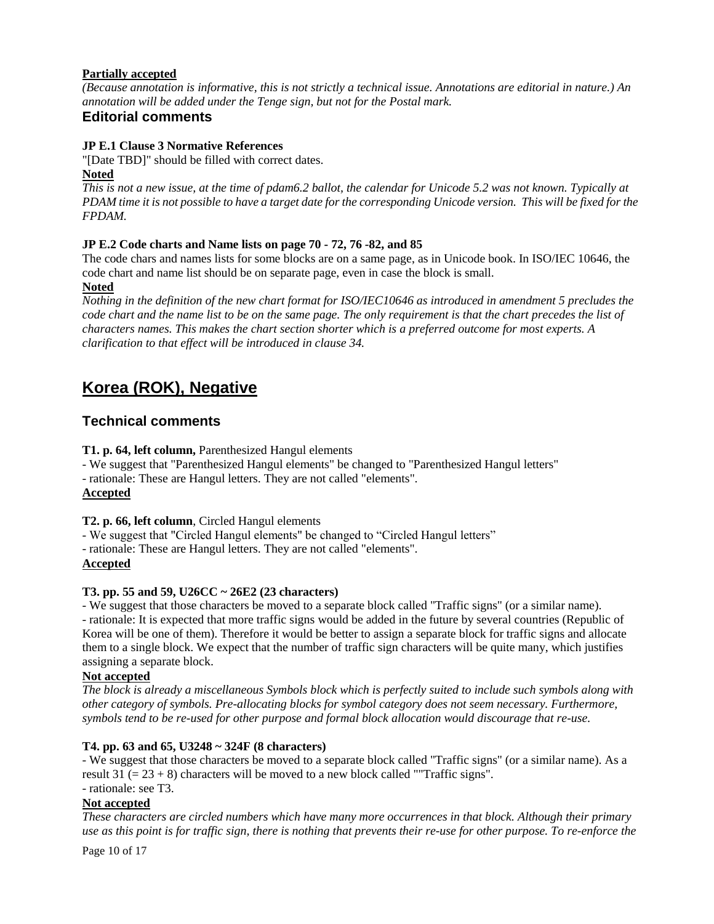## **Partially accepted**

*(Because annotation is informative, this is not strictly a technical issue. Annotations are editorial in nature.) An annotation will be added under the Tenge sign, but not for the Postal mark.* 

# **Editorial comments**

#### **JP E.1 Clause 3 Normative References**

"[Date TBD]" should be filled with correct dates.

#### **Noted**

*This is not a new issue, at the time of pdam6.2 ballot, the calendar for Unicode 5.2 was not known. Typically at PDAM time it is not possible to have a target date for the corresponding Unicode version. This will be fixed for the FPDAM.*

#### **JP E.2 Code charts and Name lists on page 70 - 72, 76 -82, and 85**

The code chars and names lists for some blocks are on a same page, as in Unicode book. In ISO/IEC 10646, the code chart and name list should be on separate page, even in case the block is small.

**Noted**

*Nothing in the definition of the new chart format for ISO/IEC10646 as introduced in amendment 5 precludes the code chart and the name list to be on the same page. The only requirement is that the chart precedes the list of characters names. This makes the chart section shorter which is a preferred outcome for most experts. A clarification to that effect will be introduced in clause 34.*

# **Korea (ROK), Negative**

## **Technical comments**

**T1. p. 64, left column,** Parenthesized Hangul elements

- We suggest that "Parenthesized Hangul elements" be changed to "Parenthesized Hangul letters"

- rationale: These are Hangul letters. They are not called "elements".

#### **Accepted**

**T2. p. 66, left column**, Circled Hangul elements

- We suggest that "Circled Hangul elements" be changed to "Circled Hangul letters"

- rationale: These are Hangul letters. They are not called "elements".

#### **Accepted**

#### **T3. pp. 55 and 59, U26CC ~ 26E2 (23 characters)**

- We suggest that those characters be moved to a separate block called "Traffic signs" (or a similar name). - rationale: It is expected that more traffic signs would be added in the future by several countries (Republic of Korea will be one of them). Therefore it would be better to assign a separate block for traffic signs and allocate them to a single block. We expect that the number of traffic sign characters will be quite many, which justifies assigning a separate block.

#### **Not accepted**

*The block is already a miscellaneous Symbols block which is perfectly suited to include such symbols along with other category of symbols. Pre-allocating blocks for symbol category does not seem necessary. Furthermore, symbols tend to be re-used for other purpose and formal block allocation would discourage that re-use.*

#### **T4. pp. 63 and 65, U3248 ~ 324F (8 characters)**

- We suggest that those characters be moved to a separate block called "Traffic signs" (or a similar name). As a result  $31 (= 23 + 8)$  characters will be moved to a new block called ""Traffic signs".

# - rationale: see T3.

# **Not accepted**

*These characters are circled numbers which have many more occurrences in that block. Although their primary use as this point is for traffic sign, there is nothing that prevents their re-use for other purpose. To re-enforce the* 

Page 10 of 17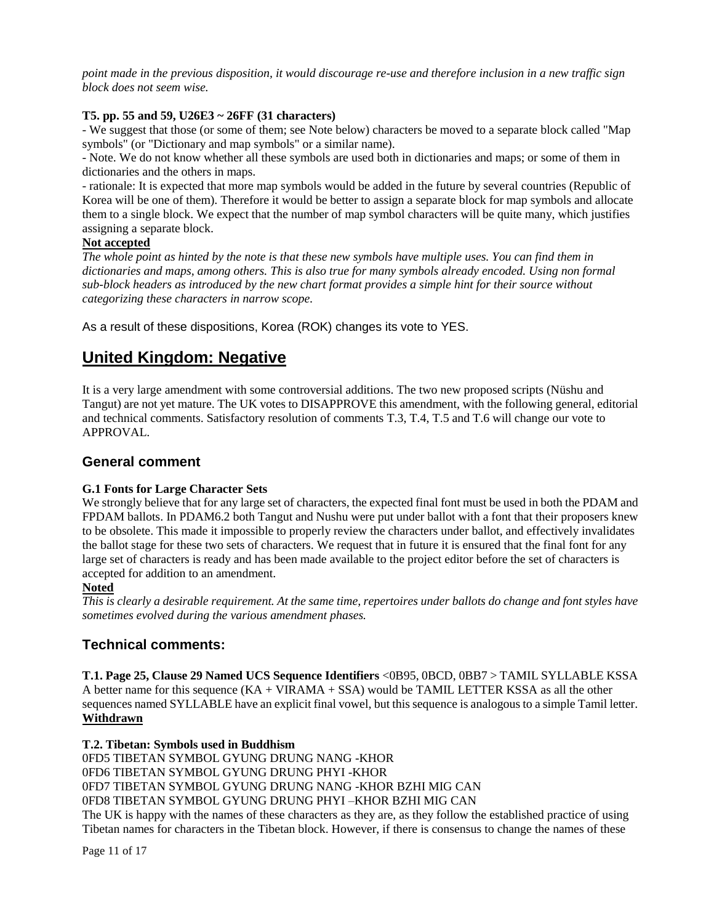*point made in the previous disposition, it would discourage re-use and therefore inclusion in a new traffic sign block does not seem wise.*

## **T5. pp. 55 and 59, U26E3 ~ 26FF (31 characters)**

- We suggest that those (or some of them; see Note below) characters be moved to a separate block called "Map symbols" (or "Dictionary and map symbols" or a similar name).

- Note. We do not know whether all these symbols are used both in dictionaries and maps; or some of them in dictionaries and the others in maps.

- rationale: It is expected that more map symbols would be added in the future by several countries (Republic of Korea will be one of them). Therefore it would be better to assign a separate block for map symbols and allocate them to a single block. We expect that the number of map symbol characters will be quite many, which justifies assigning a separate block.

#### **Not accepted**

*The whole point as hinted by the note is that these new symbols have multiple uses. You can find them in dictionaries and maps, among others. This is also true for many symbols already encoded. Using non formal sub-block headers as introduced by the new chart format provides a simple hint for their source without categorizing these characters in narrow scope.*

As a result of these dispositions, Korea (ROK) changes its vote to YES.

# **United Kingdom: Negative**

It is a very large amendment with some controversial additions. The two new proposed scripts (Nüshu and Tangut) are not yet mature. The UK votes to DISAPPROVE this amendment, with the following general, editorial and technical comments. Satisfactory resolution of comments T.3, T.4, T.5 and T.6 will change our vote to APPROVAL.

# **General comment**

#### **G.1 Fonts for Large Character Sets**

We strongly believe that for any large set of characters, the expected final font must be used in both the PDAM and FPDAM ballots. In PDAM6.2 both Tangut and Nushu were put under ballot with a font that their proposers knew to be obsolete. This made it impossible to properly review the characters under ballot, and effectively invalidates the ballot stage for these two sets of characters. We request that in future it is ensured that the final font for any large set of characters is ready and has been made available to the project editor before the set of characters is accepted for addition to an amendment.

## **Noted**

*This is clearly a desirable requirement. At the same time, repertoires under ballots do change and font styles have sometimes evolved during the various amendment phases.* 

# **Technical comments:**

**T.1. Page 25, Clause 29 Named UCS Sequence Identifiers** <0B95, 0BCD, 0BB7 > TAMIL SYLLABLE KSSA A better name for this sequence  $(KA + VIRAMA + SSA)$  would be TAMIL LETTER KSSA as all the other sequences named SYLLABLE have an explicit final vowel, but this sequence is analogous to a simple Tamil letter. **Withdrawn**

#### **T.2. Tibetan: Symbols used in Buddhism**

0FD5 TIBETAN SYMBOL GYUNG DRUNG NANG -KHOR 0FD6 TIBETAN SYMBOL GYUNG DRUNG PHYI -KHOR 0FD7 TIBETAN SYMBOL GYUNG DRUNG NANG -KHOR BZHI MIG CAN 0FD8 TIBETAN SYMBOL GYUNG DRUNG PHYI –KHOR BZHI MIG CAN The UK is happy with the names of these characters as they are, as they follow the established practice of using Tibetan names for characters in the Tibetan block. However, if there is consensus to change the names of these

Page 11 of 17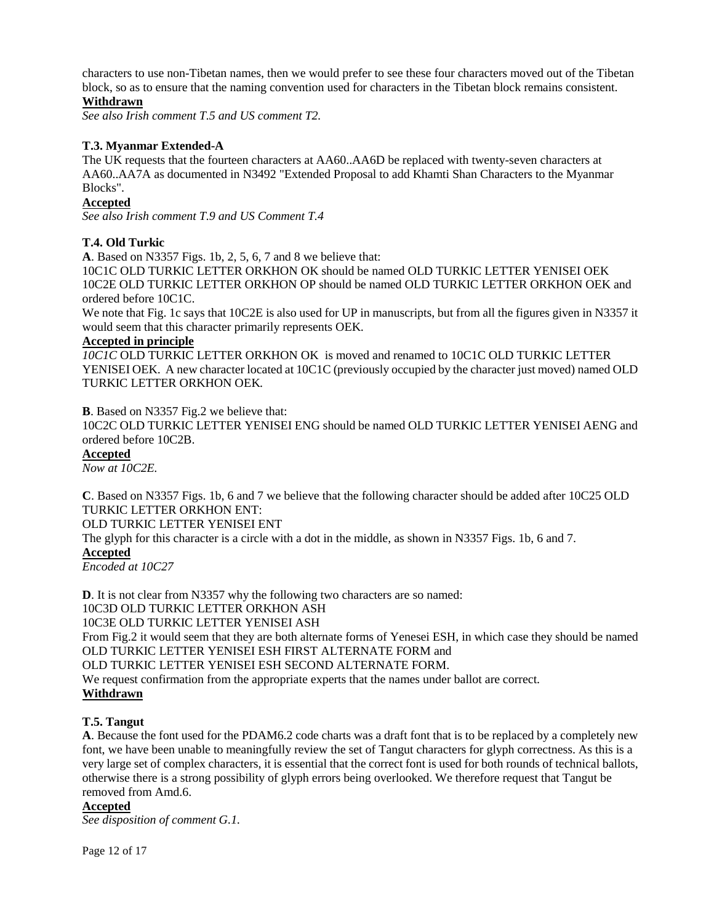characters to use non-Tibetan names, then we would prefer to see these four characters moved out of the Tibetan block, so as to ensure that the naming convention used for characters in the Tibetan block remains consistent.

## **Withdrawn**

*See also Irish comment T.5 and US comment T2.*

#### **T.3. Myanmar Extended-A**

The UK requests that the fourteen characters at AA60..AA6D be replaced with twenty-seven characters at AA60..AA7A as documented in N3492 "Extended Proposal to add Khamti Shan Characters to the Myanmar Blocks".

#### **Accepted**

*See also Irish comment T.9 and US Comment T.4*

#### **T.4. Old Turkic**

**A**. Based on N3357 Figs. 1b, 2, 5, 6, 7 and 8 we believe that:

10C1C OLD TURKIC LETTER ORKHON OK should be named OLD TURKIC LETTER YENISEI OEK 10C2E OLD TURKIC LETTER ORKHON OP should be named OLD TURKIC LETTER ORKHON OEK and ordered before 10C1C.

We note that Fig. 1c says that 10C2E is also used for UP in manuscripts, but from all the figures given in N3357 it would seem that this character primarily represents OEK.

#### **Accepted in principle**

*10C1C* OLD TURKIC LETTER ORKHON OK is moved and renamed to 10C1C OLD TURKIC LETTER YENISEI OEK. A new character located at 10C1C (previously occupied by the character just moved) named OLD TURKIC LETTER ORKHON OEK*.*

**B**. Based on N3357 Fig.2 we believe that:

10C2C OLD TURKIC LETTER YENISEI ENG should be named OLD TURKIC LETTER YENISEI AENG and ordered before 10C2B.

#### **Accepted**

*Now at 10C2E.*

**C**. Based on N3357 Figs. 1b, 6 and 7 we believe that the following character should be added after 10C25 OLD TURKIC LETTER ORKHON ENT:

OLD TURKIC LETTER YENISEI ENT

The glyph for this character is a circle with a dot in the middle, as shown in N3357 Figs. 1b, 6 and 7.

#### **Accepted**

*Encoded at 10C27*

**D**. It is not clear from N3357 why the following two characters are so named: 10C3D OLD TURKIC LETTER ORKHON ASH 10C3E OLD TURKIC LETTER YENISEI ASH From Fig.2 it would seem that they are both alternate forms of Yenesei ESH, in which case they should be named OLD TURKIC LETTER YENISEI ESH FIRST ALTERNATE FORM and OLD TURKIC LETTER YENISEI ESH SECOND ALTERNATE FORM. We request confirmation from the appropriate experts that the names under ballot are correct. **Withdrawn**

#### **T.5. Tangut**

**A**. Because the font used for the PDAM6.2 code charts was a draft font that is to be replaced by a completely new font, we have been unable to meaningfully review the set of Tangut characters for glyph correctness. As this is a very large set of complex characters, it is essential that the correct font is used for both rounds of technical ballots, otherwise there is a strong possibility of glyph errors being overlooked. We therefore request that Tangut be removed from Amd.6.

#### **Accepted**

*See disposition of comment G.1.*

Page 12 of 17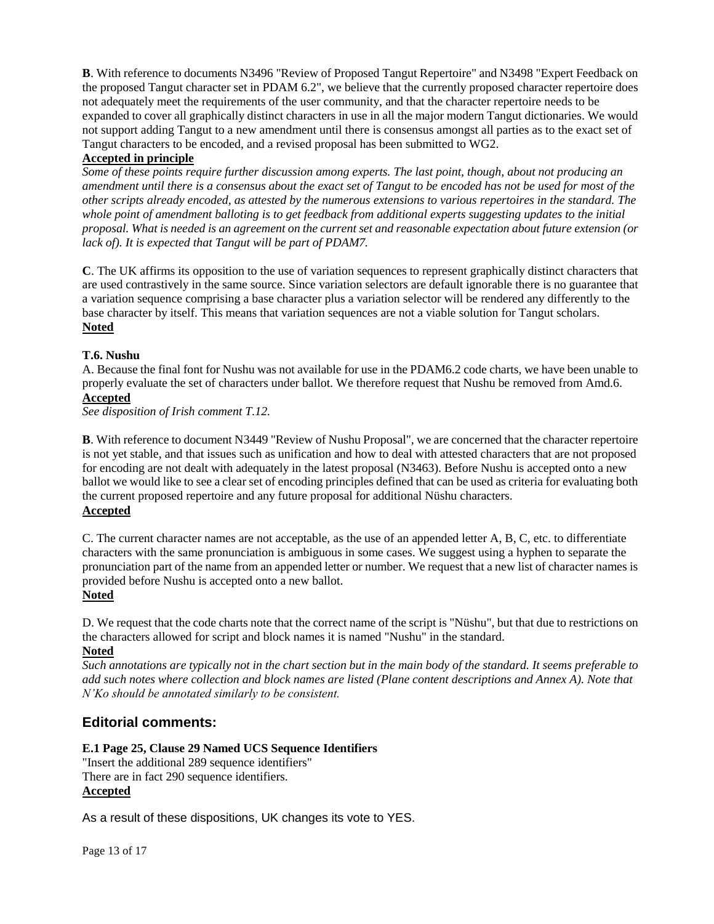**B**. With reference to documents N3496 "Review of Proposed Tangut Repertoire" and N3498 "Expert Feedback on the proposed Tangut character set in PDAM 6.2", we believe that the currently proposed character repertoire does not adequately meet the requirements of the user community, and that the character repertoire needs to be expanded to cover all graphically distinct characters in use in all the major modern Tangut dictionaries. We would not support adding Tangut to a new amendment until there is consensus amongst all parties as to the exact set of Tangut characters to be encoded, and a revised proposal has been submitted to WG2.

## **Accepted in principle**

*Some of these points require further discussion among experts. The last point, though, about not producing an amendment until there is a consensus about the exact set of Tangut to be encoded has not be used for most of the other scripts already encoded, as attested by the numerous extensions to various repertoires in the standard. The whole point of amendment balloting is to get feedback from additional experts suggesting updates to the initial proposal. What is needed is an agreement on the current set and reasonable expectation about future extension (or lack of). It is expected that Tangut will be part of PDAM7.*

**C**. The UK affirms its opposition to the use of variation sequences to represent graphically distinct characters that are used contrastively in the same source. Since variation selectors are default ignorable there is no guarantee that a variation sequence comprising a base character plus a variation selector will be rendered any differently to the base character by itself. This means that variation sequences are not a viable solution for Tangut scholars. **Noted**

## **T.6. Nushu**

A. Because the final font for Nushu was not available for use in the PDAM6.2 code charts, we have been unable to properly evaluate the set of characters under ballot. We therefore request that Nushu be removed from Amd.6. **Accepted**

*See disposition of Irish comment T.12.*

**B**. With reference to document N3449 "Review of Nushu Proposal", we are concerned that the character repertoire is not yet stable, and that issues such as unification and how to deal with attested characters that are not proposed for encoding are not dealt with adequately in the latest proposal (N3463). Before Nushu is accepted onto a new ballot we would like to see a clear set of encoding principles defined that can be used as criteria for evaluating both the current proposed repertoire and any future proposal for additional Nüshu characters.

# **Accepted**

C. The current character names are not acceptable, as the use of an appended letter A, B, C, etc. to differentiate characters with the same pronunciation is ambiguous in some cases. We suggest using a hyphen to separate the pronunciation part of the name from an appended letter or number. We request that a new list of character names is provided before Nushu is accepted onto a new ballot.

#### **Noted**

D. We request that the code charts note that the correct name of the script is "Nüshu", but that due to restrictions on the characters allowed for script and block names it is named "Nushu" in the standard.

# **Noted**

*Such annotations are typically not in the chart section but in the main body of the standard. It seems preferable to add such notes where collection and block names are listed (Plane content descriptions and Annex A). Note that N"Ko should be annotated similarly to be consistent.*

# **Editorial comments:**

## **E.1 Page 25, Clause 29 Named UCS Sequence Identifiers**

"Insert the additional 289 sequence identifiers" There are in fact 290 sequence identifiers. **Accepted**

As a result of these dispositions, UK changes its vote to YES.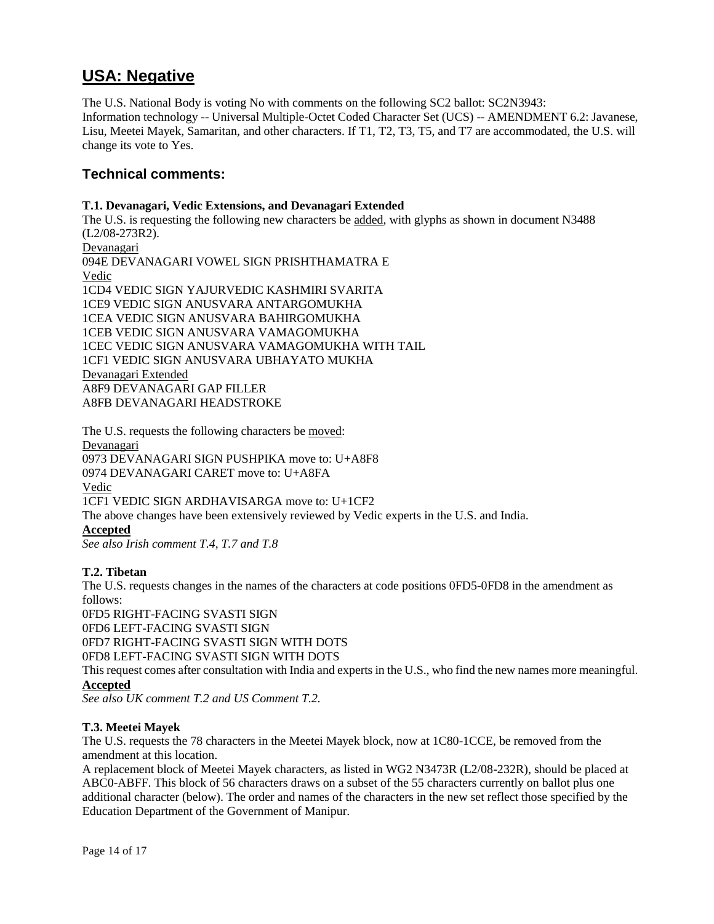# **USA: Negative**

The U.S. National Body is voting No with comments on the following SC2 ballot: SC2N3943: Information technology -- Universal Multiple-Octet Coded Character Set (UCS) -- AMENDMENT 6.2: Javanese, Lisu, Meetei Mayek, Samaritan, and other characters. If T1, T2, T3, T5, and T7 are accommodated, the U.S. will change its vote to Yes.

# **Technical comments:**

#### **T.1. Devanagari, Vedic Extensions, and Devanagari Extended**

The U.S. is requesting the following new characters be added, with glyphs as shown in document N3488 (L2/08-273R2). Devanagari 094E DEVANAGARI VOWEL SIGN PRISHTHAMATRA E Vedic 1CD4 VEDIC SIGN YAJURVEDIC KASHMIRI SVARITA 1CE9 VEDIC SIGN ANUSVARA ANTARGOMUKHA 1CEA VEDIC SIGN ANUSVARA BAHIRGOMUKHA 1CEB VEDIC SIGN ANUSVARA VAMAGOMUKHA 1CEC VEDIC SIGN ANUSVARA VAMAGOMUKHA WITH TAIL 1CF1 VEDIC SIGN ANUSVARA UBHAYATO MUKHA Devanagari Extended A8F9 DEVANAGARI GAP FILLER A8FB DEVANAGARI HEADSTROKE

The U.S. requests the following characters be moved: Devanagari 0973 DEVANAGARI SIGN PUSHPIKA move to: U+A8F8 0974 DEVANAGARI CARET move to: U+A8FA Vedic 1CF1 VEDIC SIGN ARDHAVISARGA move to: U+1CF2 The above changes have been extensively reviewed by Vedic experts in the U.S. and India. **Accepted** *See also Irish comment T.4, T.7 and T.8*

#### **T.2. Tibetan**

The U.S. requests changes in the names of the characters at code positions 0FD5-0FD8 in the amendment as follows:

0FD5 RIGHT-FACING SVASTI SIGN 0FD6 LEFT-FACING SVASTI SIGN 0FD7 RIGHT-FACING SVASTI SIGN WITH DOTS 0FD8 LEFT-FACING SVASTI SIGN WITH DOTS

This request comes after consultation with India and experts in the U.S., who find the new names more meaningful. **Accepted**

*See also UK comment T.2 and US Comment T.2.*

#### **T.3. Meetei Mayek**

The U.S. requests the 78 characters in the Meetei Mayek block, now at 1C80-1CCE, be removed from the amendment at this location.

A replacement block of Meetei Mayek characters, as listed in WG2 N3473R (L2/08-232R), should be placed at ABC0-ABFF. This block of 56 characters draws on a subset of the 55 characters currently on ballot plus one additional character (below). The order and names of the characters in the new set reflect those specified by the Education Department of the Government of Manipur.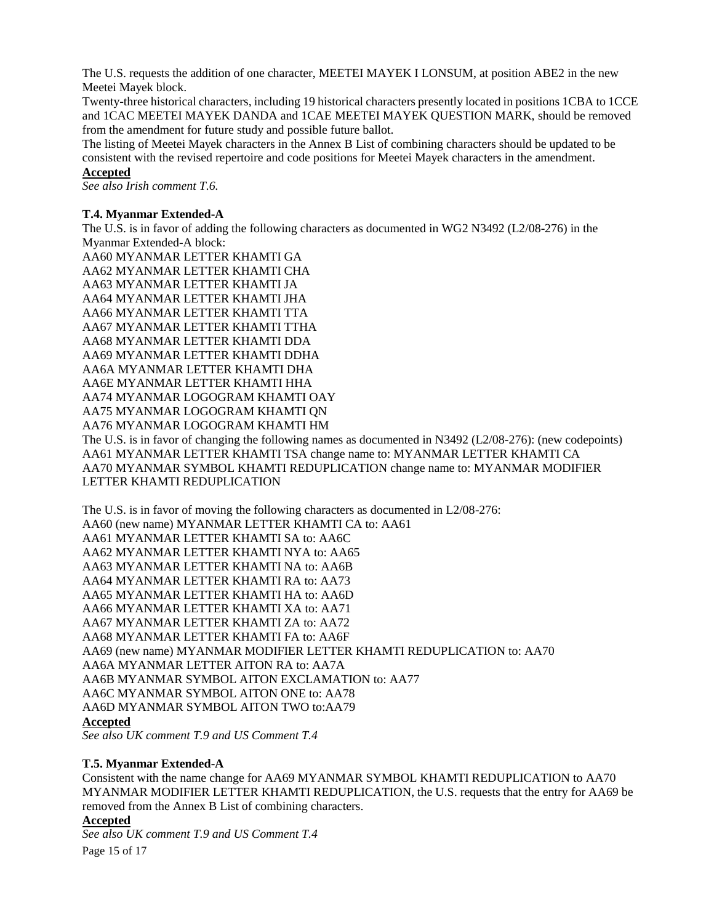The U.S. requests the addition of one character, MEETEI MAYEK I LONSUM, at position ABE2 in the new Meetei Mayek block.

Twenty-three historical characters, including 19 historical characters presently located in positions 1CBA to 1CCE and 1CAC MEETEI MAYEK DANDA and 1CAE MEETEI MAYEK QUESTION MARK, should be removed from the amendment for future study and possible future ballot.

The listing of Meetei Mayek characters in the Annex B List of combining characters should be updated to be consistent with the revised repertoire and code positions for Meetei Mayek characters in the amendment. **Accepted**

*See also Irish comment T.6.* 

#### **T.4. Myanmar Extended-A**

The U.S. is in favor of adding the following characters as documented in WG2 N3492 (L2/08-276) in the Myanmar Extended-A block:

AA60 MYANMAR LETTER KHAMTI GA AA62 MYANMAR LETTER KHAMTI CHA AA63 MYANMAR LETTER KHAMTI JA AA64 MYANMAR LETTER KHAMTI JHA AA66 MYANMAR LETTER KHAMTI TTA AA67 MYANMAR LETTER KHAMTI TTHA AA68 MYANMAR LETTER KHAMTI DDA AA69 MYANMAR LETTER KHAMTI DDHA AA6A MYANMAR LETTER KHAMTI DHA AA6E MYANMAR LETTER KHAMTI HHA AA74 MYANMAR LOGOGRAM KHAMTI OAY AA75 MYANMAR LOGOGRAM KHAMTI QN AA76 MYANMAR LOGOGRAM KHAMTI HM The U.S. is in favor of changing the following names as documented in N3492 (L2/08-276): (new codepoints) AA61 MYANMAR LETTER KHAMTI TSA change name to: MYANMAR LETTER KHAMTI CA AA70 MYANMAR SYMBOL KHAMTI REDUPLICATION change name to: MYANMAR MODIFIER LETTER KHAMTI REDUPLICATION

The U.S. is in favor of moving the following characters as documented in L2/08-276: AA60 (new name) MYANMAR LETTER KHAMTI CA to: AA61 AA61 MYANMAR LETTER KHAMTI SA to: AA6C AA62 MYANMAR LETTER KHAMTI NYA to: AA65 AA63 MYANMAR LETTER KHAMTI NA to: AA6B AA64 MYANMAR LETTER KHAMTI RA to: AA73 AA65 MYANMAR LETTER KHAMTI HA to: AA6D AA66 MYANMAR LETTER KHAMTI XA to: AA71 AA67 MYANMAR LETTER KHAMTI ZA to: AA72 AA68 MYANMAR LETTER KHAMTI FA to: AA6F AA69 (new name) MYANMAR MODIFIER LETTER KHAMTI REDUPLICATION to: AA70 AA6A MYANMAR LETTER AITON RA to: AA7A AA6B MYANMAR SYMBOL AITON EXCLAMATION to: AA77 AA6C MYANMAR SYMBOL AITON ONE to: AA78 AA6D MYANMAR SYMBOL AITON TWO to:AA79

#### **Accepted**

*See also UK comment T.9 and US Comment T.4*

#### **T.5. Myanmar Extended-A**

Consistent with the name change for AA69 MYANMAR SYMBOL KHAMTI REDUPLICATION to AA70 MYANMAR MODIFIER LETTER KHAMTI REDUPLICATION, the U.S. requests that the entry for AA69 be removed from the Annex B List of combining characters.

## **Accepted**

Page 15 of 17 *See also UK comment T.9 and US Comment T.4*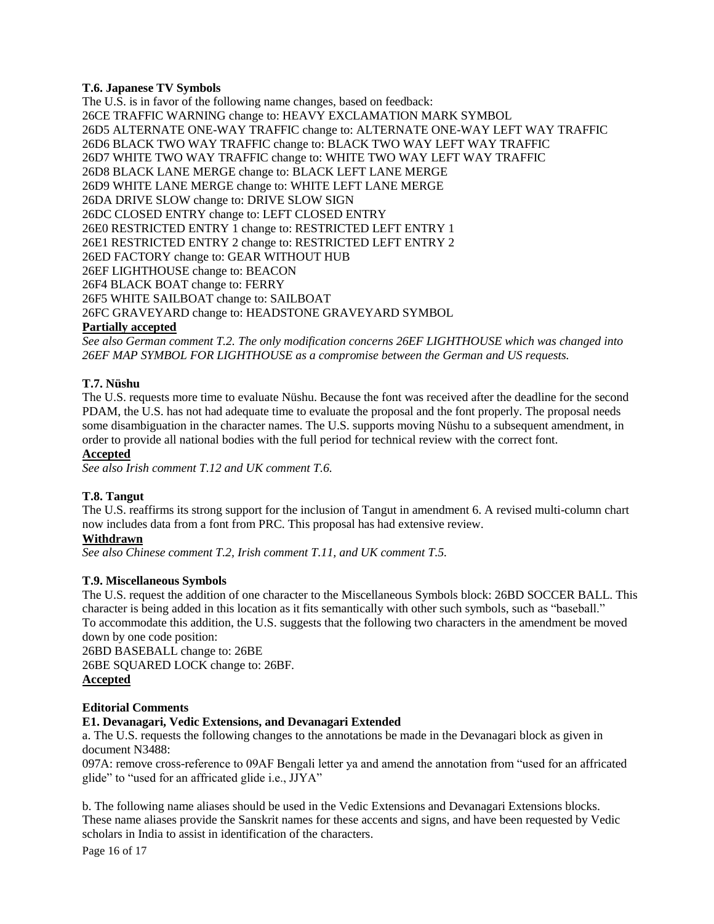#### **T.6. Japanese TV Symbols**

The U.S. is in favor of the following name changes, based on feedback: 26CE TRAFFIC WARNING change to: HEAVY EXCLAMATION MARK SYMBOL 26D5 ALTERNATE ONE-WAY TRAFFIC change to: ALTERNATE ONE-WAY LEFT WAY TRAFFIC 26D6 BLACK TWO WAY TRAFFIC change to: BLACK TWO WAY LEFT WAY TRAFFIC 26D7 WHITE TWO WAY TRAFFIC change to: WHITE TWO WAY LEFT WAY TRAFFIC 26D8 BLACK LANE MERGE change to: BLACK LEFT LANE MERGE 26D9 WHITE LANE MERGE change to: WHITE LEFT LANE MERGE 26DA DRIVE SLOW change to: DRIVE SLOW SIGN 26DC CLOSED ENTRY change to: LEFT CLOSED ENTRY 26E0 RESTRICTED ENTRY 1 change to: RESTRICTED LEFT ENTRY 1 26E1 RESTRICTED ENTRY 2 change to: RESTRICTED LEFT ENTRY 2 26ED FACTORY change to: GEAR WITHOUT HUB 26EF LIGHTHOUSE change to: BEACON 26F4 BLACK BOAT change to: FERRY 26F5 WHITE SAILBOAT change to: SAILBOAT 26FC GRAVEYARD change to: HEADSTONE GRAVEYARD SYMBOL

# **Partially accepted**

*See also German comment T.2. The only modification concerns 26EF LIGHTHOUSE which was changed into 26EF MAP SYMBOL FOR LIGHTHOUSE as a compromise between the German and US requests.*

## **T.7. Nüshu**

The U.S. requests more time to evaluate Nüshu. Because the font was received after the deadline for the second PDAM, the U.S. has not had adequate time to evaluate the proposal and the font properly. The proposal needs some disambiguation in the character names. The U.S. supports moving Nüshu to a subsequent amendment, in order to provide all national bodies with the full period for technical review with the correct font.

## **Accepted**

*See also Irish comment T.12 and UK comment T.6.* 

#### **T.8. Tangut**

The U.S. reaffirms its strong support for the inclusion of Tangut in amendment 6. A revised multi-column chart now includes data from a font from PRC. This proposal has had extensive review.

### **Withdrawn**

*See also Chinese comment T.2, Irish comment T.11, and UK comment T.5.* 

#### **T.9. Miscellaneous Symbols**

The U.S. request the addition of one character to the Miscellaneous Symbols block: 26BD SOCCER BALL. This character is being added in this location as it fits semantically with other such symbols, such as "baseball." To accommodate this addition, the U.S. suggests that the following two characters in the amendment be moved down by one code position:

26BD BASEBALL change to: 26BE 26BE SQUARED LOCK change to: 26BF. **Accepted**

#### **Editorial Comments**

#### **E1. Devanagari, Vedic Extensions, and Devanagari Extended**

a. The U.S. requests the following changes to the annotations be made in the Devanagari block as given in document N3488:

097A: remove cross-reference to 09AF Bengali letter ya and amend the annotation from "used for an affricated glide" to "used for an affricated glide i.e., JJYA"

b. The following name aliases should be used in the Vedic Extensions and Devanagari Extensions blocks. These name aliases provide the Sanskrit names for these accents and signs, and have been requested by Vedic scholars in India to assist in identification of the characters.

Page 16 of 17